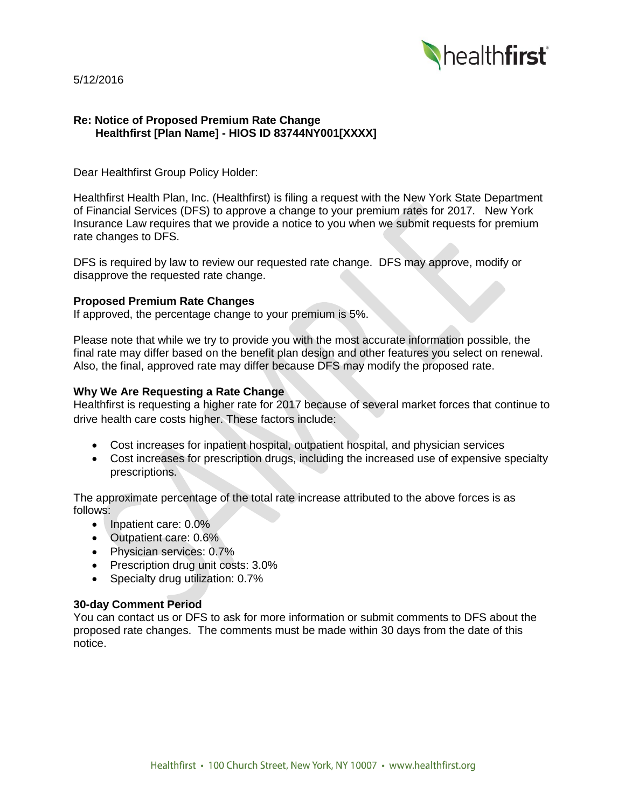

5/12/2016

# **Re: Notice of Proposed Premium Rate Change Healthfirst [Plan Name] - HIOS ID 83744NY001[XXXX]**

Dear Healthfirst Group Policy Holder:

Healthfirst Health Plan, Inc. (Healthfirst) is filing a request with the New York State Department of Financial Services (DFS) to approve a change to your premium rates for 2017. New York Insurance Law requires that we provide a notice to you when we submit requests for premium rate changes to DFS.

DFS is required by law to review our requested rate change. DFS may approve, modify or disapprove the requested rate change.

### **Proposed Premium Rate Changes**

If approved, the percentage change to your premium is 5%.

Please note that while we try to provide you with the most accurate information possible, the final rate may differ based on the benefit plan design and other features you select on renewal. Also, the final, approved rate may differ because DFS may modify the proposed rate.

### **Why We Are Requesting a Rate Change**

Healthfirst is requesting a higher rate for 2017 because of several market forces that continue to drive health care costs higher. These factors include:

- Cost increases for inpatient hospital, outpatient hospital, and physician services
- Cost increases for prescription drugs, including the increased use of expensive specialty prescriptions.

The approximate percentage of the total rate increase attributed to the above forces is as follows:

- Inpatient care: 0.0%
- Outpatient care: 0.6%
- Physician services: 0.7%
- Prescription drug unit costs: 3.0%
- Specialty drug utilization: 0.7%

# **30-day Comment Period**

You can contact us or DFS to ask for more information or submit comments to DFS about the proposed rate changes. The comments must be made within 30 days from the date of this notice.